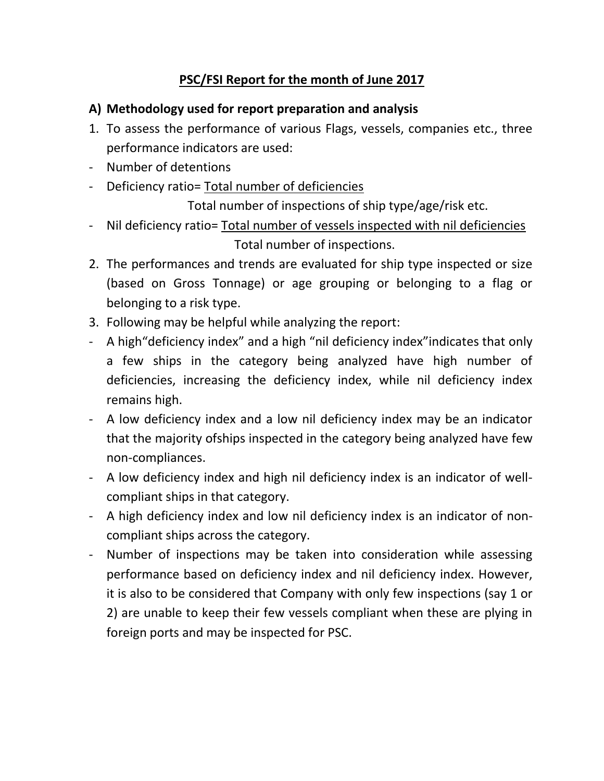## **PSC/FSI Report for the month of June 2017**

### **A) Methodology used for report preparation and analysis**

- 1. To assess the performance of various Flags, vessels, companies etc., three performance indicators are used:
- Number of detentions
- Deficiency ratio= Total number of deficiencies

Total number of inspections of ship type/age/risk etc.

- Nil deficiency ratio= Total number of vessels inspected with nil deficiencies Total number of inspections.
- 2. The performances and trends are evaluated for ship type inspected or size (based on Gross Tonnage) or age grouping or belonging to a flag or belonging to a risk type.
- 3. Following may be helpful while analyzing the report:
- A high"deficiency index" and a high "nil deficiency index"indicates that only a few ships in the category being analyzed have high number of deficiencies, increasing the deficiency index, while nil deficiency index remains high.
- A low deficiency index and a low nil deficiency index may be an indicator that the majority ofships inspected in the category being analyzed have few non-compliances.
- A low deficiency index and high nil deficiency index is an indicator of wellcompliant ships in that category.
- A high deficiency index and low nil deficiency index is an indicator of noncompliant ships across the category.
- Number of inspections may be taken into consideration while assessing performance based on deficiency index and nil deficiency index. However, it is also to be considered that Company with only few inspections (say 1 or 2) are unable to keep their few vessels compliant when these are plying in foreign ports and may be inspected for PSC.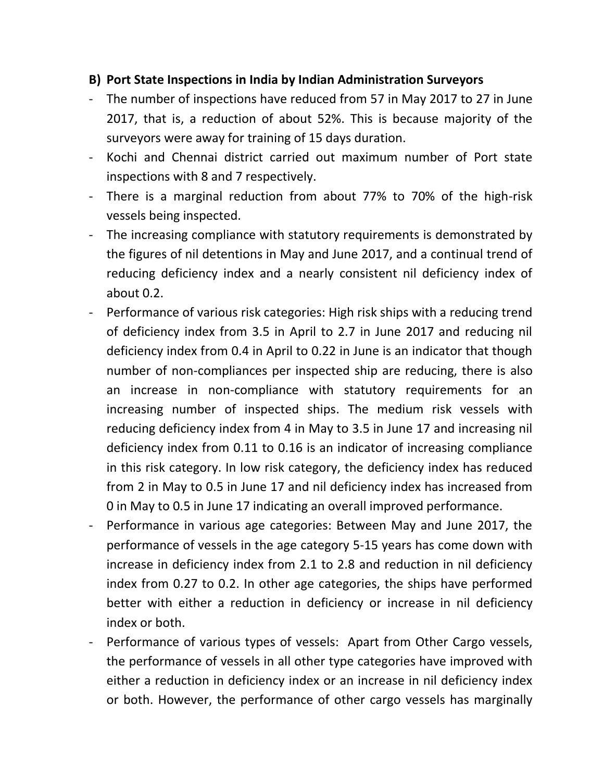### **B) Port State Inspections in India by Indian Administration Surveyors**

- The number of inspections have reduced from 57 in May 2017 to 27 in June 2017, that is, a reduction of about 52%. This is because majority of the surveyors were away for training of 15 days duration.
- Kochi and Chennai district carried out maximum number of Port state inspections with 8 and 7 respectively.
- There is a marginal reduction from about 77% to 70% of the high-risk vessels being inspected.
- The increasing compliance with statutory requirements is demonstrated by the figures of nil detentions in May and June 2017, and a continual trend of reducing deficiency index and a nearly consistent nil deficiency index of about 0.2.
- Performance of various risk categories: High risk ships with a reducing trend of deficiency index from 3.5 in April to 2.7 in June 2017 and reducing nil deficiency index from 0.4 in April to 0.22 in June is an indicator that though number of non-compliances per inspected ship are reducing, there is also an increase in non-compliance with statutory requirements for an increasing number of inspected ships. The medium risk vessels with reducing deficiency index from 4 in May to 3.5 in June 17 and increasing nil deficiency index from 0.11 to 0.16 is an indicator of increasing compliance in this risk category. In low risk category, the deficiency index has reduced from 2 in May to 0.5 in June 17 and nil deficiency index has increased from 0 in May to 0.5 in June 17 indicating an overall improved performance.
- Performance in various age categories: Between May and June 2017, the performance of vessels in the age category 5-15 years has come down with increase in deficiency index from 2.1 to 2.8 and reduction in nil deficiency index from 0.27 to 0.2. In other age categories, the ships have performed better with either a reduction in deficiency or increase in nil deficiency index or both.
- Performance of various types of vessels: Apart from Other Cargo vessels, the performance of vessels in all other type categories have improved with either a reduction in deficiency index or an increase in nil deficiency index or both. However, the performance of other cargo vessels has marginally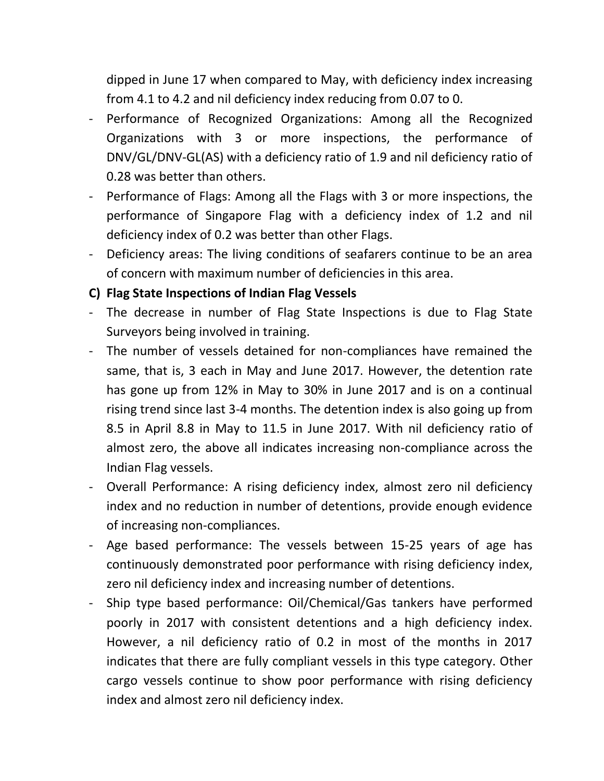dipped in June 17 when compared to May, with deficiency index increasing from 4.1 to 4.2 and nil deficiency index reducing from 0.07 to 0.

- Performance of Recognized Organizations: Among all the Recognized Organizations with 3 or more inspections, the performance of DNV/GL/DNV-GL(AS) with a deficiency ratio of 1.9 and nil deficiency ratio of 0.28 was better than others.
- Performance of Flags: Among all the Flags with 3 or more inspections, the performance of Singapore Flag with a deficiency index of 1.2 and nil deficiency index of 0.2 was better than other Flags.
- Deficiency areas: The living conditions of seafarers continue to be an area of concern with maximum number of deficiencies in this area.

### **C) Flag State Inspections of Indian Flag Vessels**

- The decrease in number of Flag State Inspections is due to Flag State Surveyors being involved in training.
- The number of vessels detained for non-compliances have remained the same, that is, 3 each in May and June 2017. However, the detention rate has gone up from 12% in May to 30% in June 2017 and is on a continual rising trend since last 3-4 months. The detention index is also going up from 8.5 in April 8.8 in May to 11.5 in June 2017. With nil deficiency ratio of almost zero, the above all indicates increasing non-compliance across the Indian Flag vessels.
- Overall Performance: A rising deficiency index, almost zero nil deficiency index and no reduction in number of detentions, provide enough evidence of increasing non-compliances.
- Age based performance: The vessels between 15-25 years of age has continuously demonstrated poor performance with rising deficiency index, zero nil deficiency index and increasing number of detentions.
- Ship type based performance: Oil/Chemical/Gas tankers have performed poorly in 2017 with consistent detentions and a high deficiency index. However, a nil deficiency ratio of 0.2 in most of the months in 2017 indicates that there are fully compliant vessels in this type category. Other cargo vessels continue to show poor performance with rising deficiency index and almost zero nil deficiency index.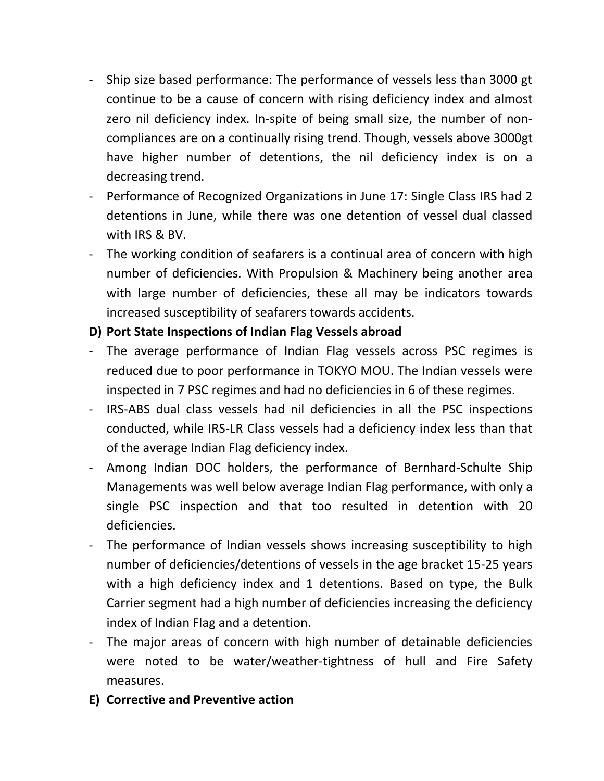- Ship size based performance: The performance of vessels less than 3000 gt continue to be a cause of concern with rising deficiency index and almost zero nil deficiency index. In-spite of being small size, the number of noncompliances are on a continually rising trend. Though, vessels above 3000gt have higher number of detentions, the nil deficiency index is on a decreasing trend.
- Performance of Recognized Organizations in June 17: Single Class IRS had 2 detentions in June, while there was one detention of vessel dual classed with IRS & BV.
- The working condition of seafarers is a continual area of concern with high number of deficiencies. With Propulsion & Machinery being another area with large number of deficiencies, these all may be indicators towards increased susceptibility of seafarers towards accidents.

## **D) Port State Inspections of Indian Flag Vessels abroad**

- The average performance of Indian Flag vessels across PSC regimes is reduced due to poor performance in TOKYO MOU. The Indian vessels were inspected in 7 PSC regimes and had no deficiencies in 6 of these regimes.
- IRS-ABS dual class vessels had nil deficiencies in all the PSC inspections conducted, while IRS-LR Class vessels had a deficiency index less than that of the average Indian Flag deficiency index.
- Among Indian DOC holders, the performance of Bernhard-Schulte Ship Managements was well below average Indian Flag performance, with only a single PSC inspection and that too resulted in detention with 20 deficiencies.
- The performance of Indian vessels shows increasing susceptibility to high number of deficiencies/detentions of vessels in the age bracket 15-25 years with a high deficiency index and 1 detentions. Based on type, the Bulk Carrier segment had a high number of deficiencies increasing the deficiency index of Indian Flag and a detention.
- The major areas of concern with high number of detainable deficiencies were noted to be water/weather-tightness of hull and Fire Safety measures.
- **E) Corrective and Preventive action**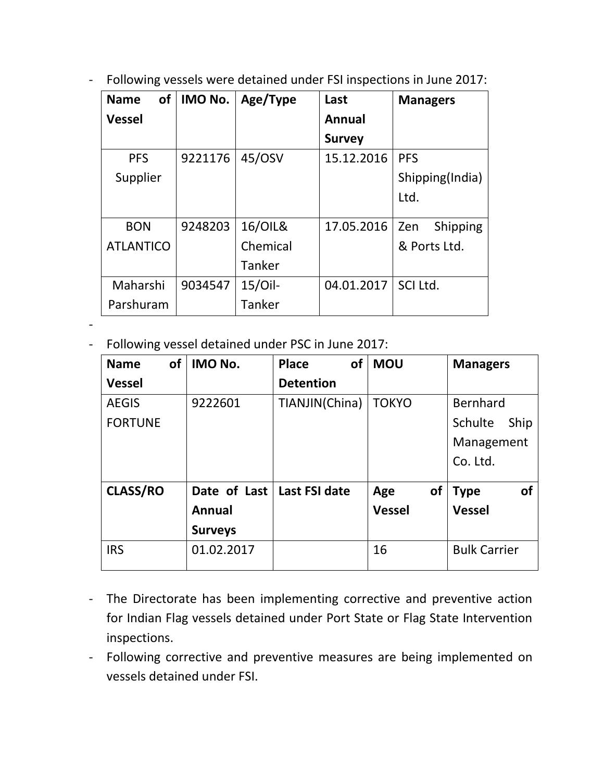- Following vessels were detained under FSI inspections in June 2017:

| <b>of</b><br><b>Name</b> | IMO No. | Age/Type   | Last          | <b>Managers</b>        |
|--------------------------|---------|------------|---------------|------------------------|
| <b>Vessel</b>            |         |            | <b>Annual</b> |                        |
|                          |         |            | <b>Survey</b> |                        |
| <b>PFS</b>               | 9221176 | 45/0SV     | 15.12.2016    | <b>PFS</b>             |
| Supplier                 |         |            |               | Shipping(India)        |
|                          |         |            |               | Ltd.                   |
| <b>BON</b>               | 9248203 | 16/01L&    | 17.05.2016    | <b>Shipping</b><br>Zen |
| <b>ATLANTICO</b>         |         | Chemical   |               | & Ports Ltd.           |
|                          |         | Tanker     |               |                        |
| Maharshi                 | 9034547 | $15/O$ il- | 04.01.2017    | SCI Ltd.               |
| Parshuram                |         | Tanker     |               |                        |

-

- Following vessel detained under PSC in June 2017:

| <b>Name</b>     | of | <b>IMO No.</b>               | <b>of</b><br><b>Place</b> | <b>MOU</b>       | <b>Managers</b>          |
|-----------------|----|------------------------------|---------------------------|------------------|--------------------------|
| <b>Vessel</b>   |    |                              | <b>Detention</b>          |                  |                          |
| <b>AEGIS</b>    |    | 9222601                      | TIANJIN(China)            | <b>TOKYO</b>     | Bernhard                 |
| <b>FORTUNE</b>  |    |                              |                           |                  | Schulte<br>Ship          |
|                 |    |                              |                           |                  | Management               |
|                 |    |                              |                           |                  | Co. Ltd.                 |
| <b>CLASS/RO</b> |    | Date of Last   Last FSI date |                           | <b>of</b><br>Age | <b>of</b><br><b>Type</b> |
|                 |    | Annual                       |                           | <b>Vessel</b>    | <b>Vessel</b>            |
|                 |    | <b>Surveys</b>               |                           |                  |                          |
| <b>IRS</b>      |    | 01.02.2017                   |                           | 16               | <b>Bulk Carrier</b>      |

- The Directorate has been implementing corrective and preventive action for Indian Flag vessels detained under Port State or Flag State Intervention inspections.
- Following corrective and preventive measures are being implemented on vessels detained under FSI.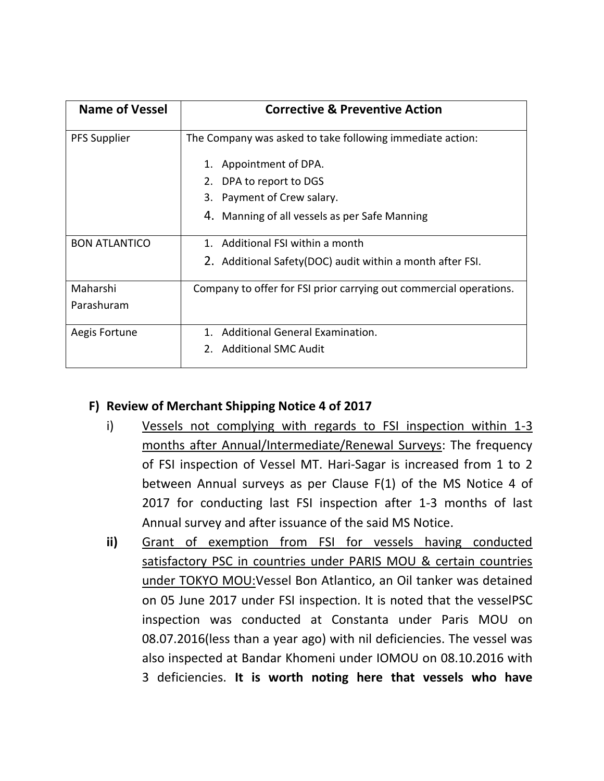| <b>Name of Vessel</b> | <b>Corrective &amp; Preventive Action</b>                          |
|-----------------------|--------------------------------------------------------------------|
| <b>PFS Supplier</b>   | The Company was asked to take following immediate action:          |
|                       | Appointment of DPA.<br>1.                                          |
|                       | 2. DPA to report to DGS                                            |
|                       | 3. Payment of Crew salary.                                         |
|                       | 4. Manning of all vessels as per Safe Manning                      |
| <b>BON ATLANTICO</b>  | 1. Additional FSI within a month                                   |
|                       | 2. Additional Safety (DOC) audit within a month after FSI.         |
| Maharshi              | Company to offer for FSI prior carrying out commercial operations. |
| Parashuram            |                                                                    |
| Aegis Fortune         | 1. Additional General Examination.                                 |
|                       | 2. Additional SMC Audit                                            |

## **F) Review of Merchant Shipping Notice 4 of 2017**

- i) Vessels not complying with regards to FSI inspection within 1-3 months after Annual/Intermediate/Renewal Surveys: The frequency of FSI inspection of Vessel MT. Hari-Sagar is increased from 1 to 2 between Annual surveys as per Clause F(1) of the MS Notice 4 of 2017 for conducting last FSI inspection after 1-3 months of last Annual survey and after issuance of the said MS Notice.
- **ii)** Grant of exemption from FSI for vessels having conducted satisfactory PSC in countries under PARIS MOU & certain countries under TOKYO MOU:Vessel Bon Atlantico, an Oil tanker was detained on 05 June 2017 under FSI inspection. It is noted that the vesselPSC inspection was conducted at Constanta under Paris MOU on 08.07.2016(less than a year ago) with nil deficiencies. The vessel was also inspected at Bandar Khomeni under IOMOU on 08.10.2016 with 3 deficiencies. **It is worth noting here that vessels who have**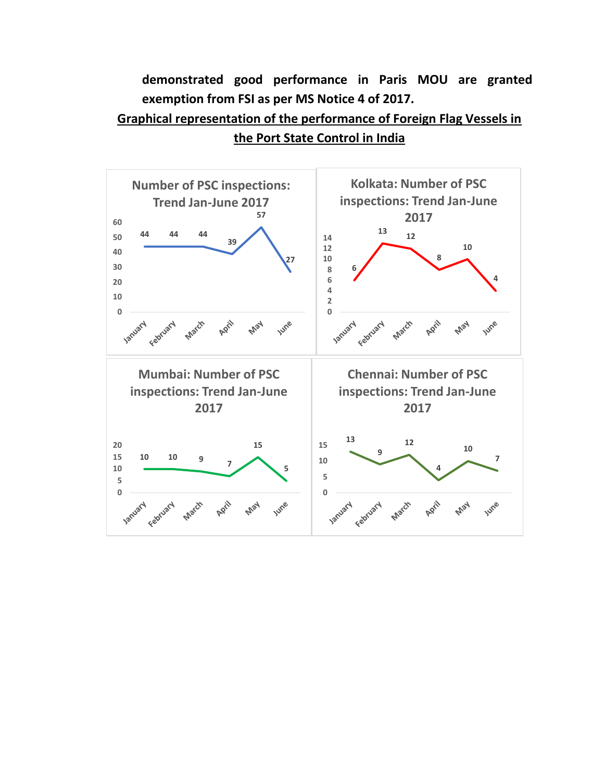**demonstrated good performance in Paris MOU are granted exemption from FSI as per MS Notice 4 of 2017.**

## **Graphical representation of the performance of Foreign Flag Vessels in the Port State Control in India**

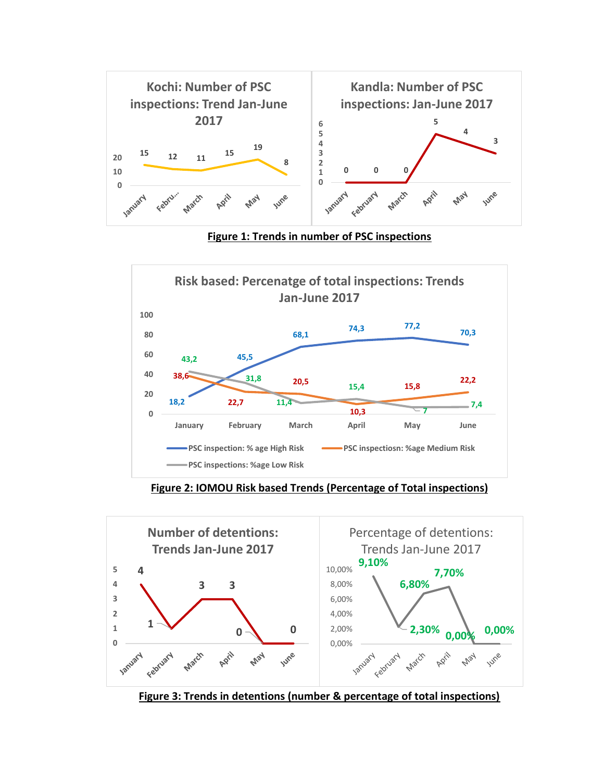

**Figure 1: Trends in number of PSC inspections**



**Figure 2: IOMOU Risk based Trends (Percentage of Total inspections)**



**Figure 3: Trends in detentions (number & percentage of total inspections)**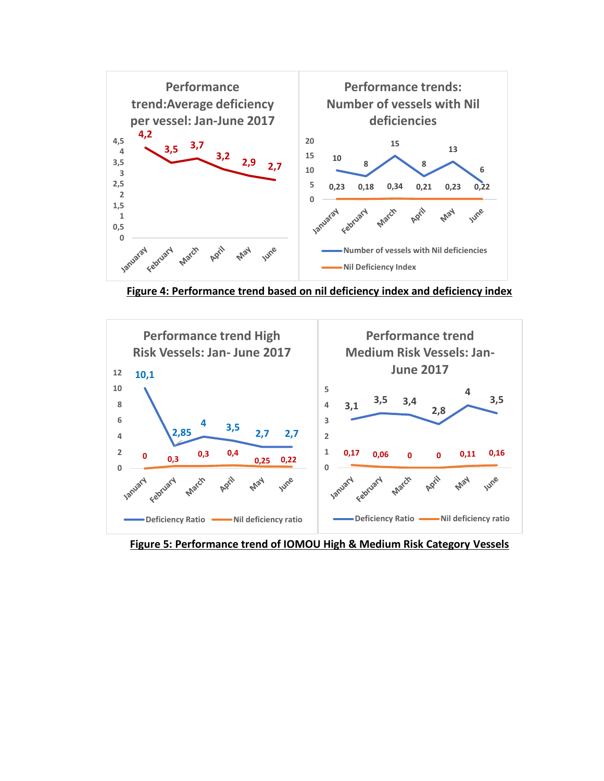

**Figure 4: Performance trend based on nil deficiency index and deficiency index**



**Figure 5: Performance trend of IOMOU High & Medium Risk Category Vessels**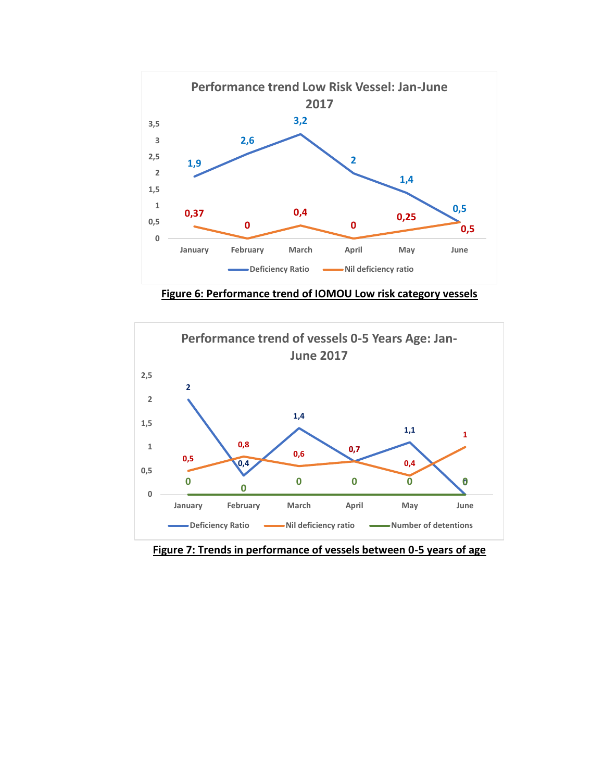

**Figure 6: Performance trend of IOMOU Low risk category vessels**



**Figure 7: Trends in performance of vessels between 0-5 years of age**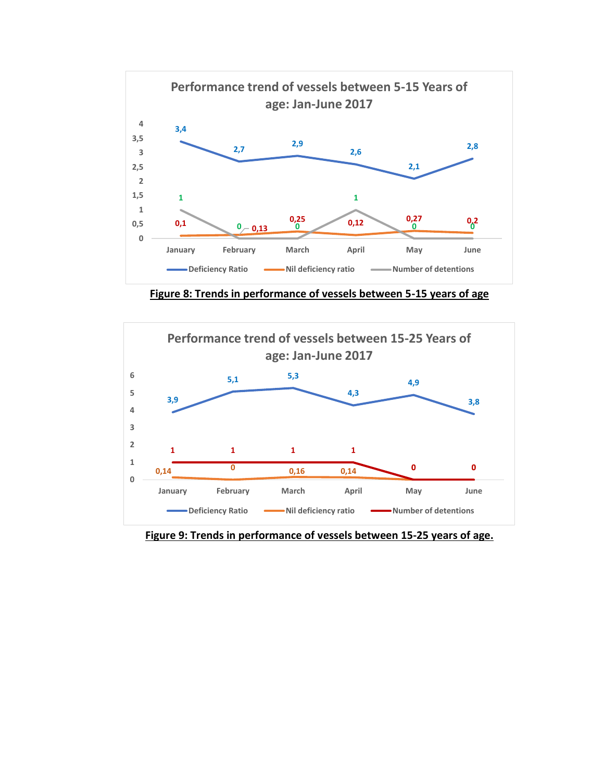

**Figure 8: Trends in performance of vessels between 5-15 years of age**



**Figure 9: Trends in performance of vessels between 15-25 years of age.**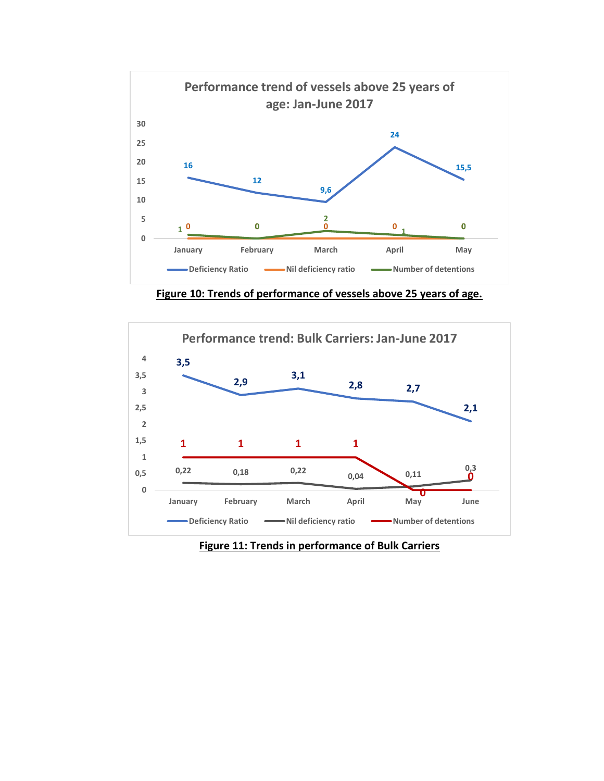

**Figure 10: Trends of performance of vessels above 25 years of age.**



**Figure 11: Trends in performance of Bulk Carriers**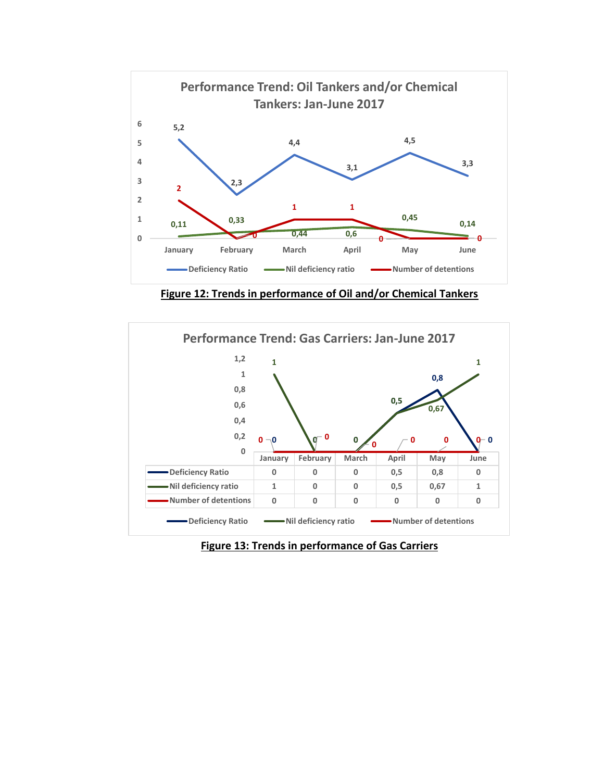

**Figure 12: Trends in performance of Oil and/or Chemical Tankers**



**Figure 13: Trends in performance of Gas Carriers**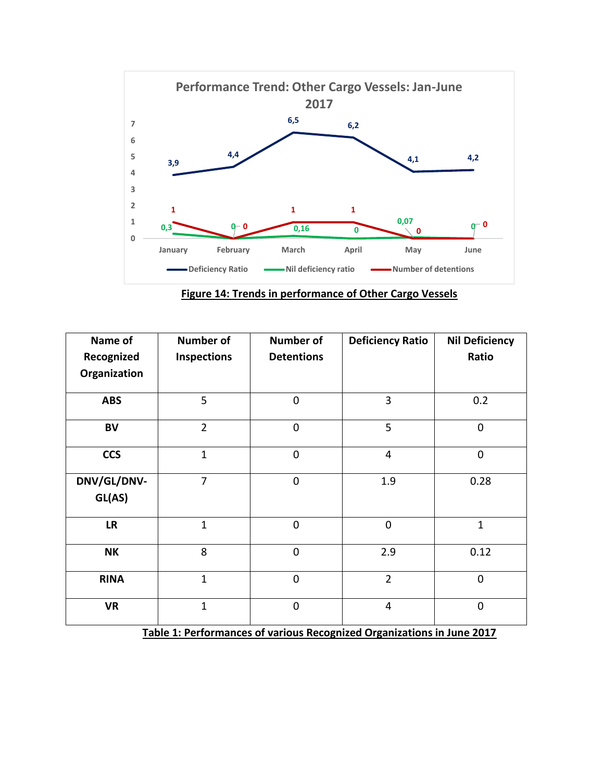

**Figure 14: Trends in performance of Other Cargo Vessels**

| Name of<br>Recognized<br>Organization | <b>Number of</b><br><b>Inspections</b> | <b>Number of</b><br><b>Detentions</b> | <b>Deficiency Ratio</b> | <b>Nil Deficiency</b><br>Ratio |
|---------------------------------------|----------------------------------------|---------------------------------------|-------------------------|--------------------------------|
| <b>ABS</b>                            | 5                                      | $\mathbf 0$                           | 3                       | 0.2                            |
| <b>BV</b>                             | $\overline{2}$                         | $\mathbf 0$                           | 5                       | 0                              |
| <b>CCS</b>                            | $\mathbf{1}$                           | $\mathbf 0$                           | $\overline{4}$          | 0                              |
| DNV/GL/DNV-<br>GL(AS)                 | $\overline{7}$                         | $\mathbf 0$                           | 1.9                     | 0.28                           |
| <b>LR</b>                             | $\overline{1}$                         | $\mathbf 0$                           | $\mathbf 0$             | $\mathbf{1}$                   |
| <b>NK</b>                             | 8                                      | $\mathbf 0$                           | 2.9                     | 0.12                           |
| <b>RINA</b>                           | $\mathbf{1}$                           | $\mathbf 0$                           | $\overline{2}$          | 0                              |
| <b>VR</b>                             | $\mathbf{1}$                           | $\mathbf 0$                           | $\overline{4}$          | 0                              |

**Table 1: Performances of various Recognized Organizations in June 2017**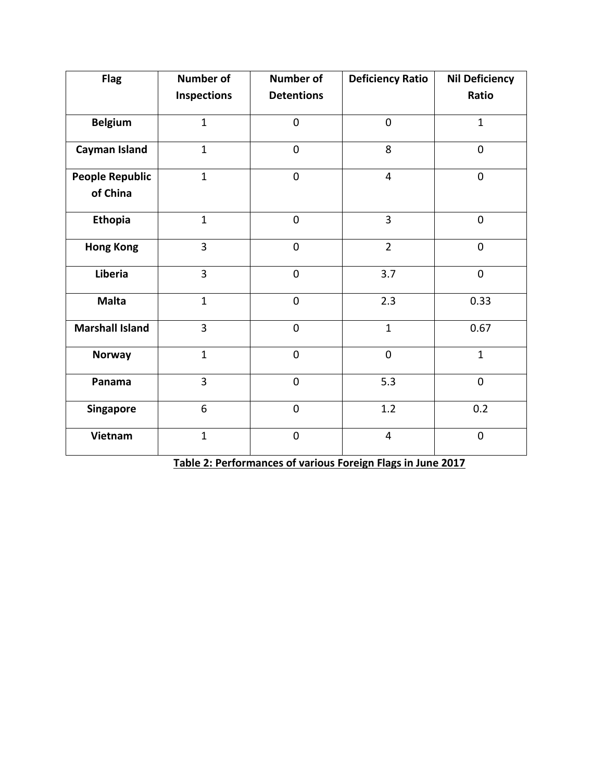| <b>Flag</b>            | Number of          | <b>Number of</b>  | <b>Deficiency Ratio</b> | <b>Nil Deficiency</b> |  |  |  |
|------------------------|--------------------|-------------------|-------------------------|-----------------------|--|--|--|
|                        | <b>Inspections</b> | <b>Detentions</b> |                         | Ratio                 |  |  |  |
| <b>Belgium</b>         | $\mathbf{1}$       | $\overline{0}$    | $\overline{0}$          | $\mathbf{1}$          |  |  |  |
| <b>Cayman Island</b>   | $\mathbf{1}$       | $\mathbf 0$       | 8                       | $\boldsymbol{0}$      |  |  |  |
| <b>People Republic</b> | $\mathbf{1}$       | $\mathbf 0$       | $\overline{4}$          | $\mathbf 0$           |  |  |  |
| of China               |                    |                   |                         |                       |  |  |  |
| <b>Ethopia</b>         | $\mathbf{1}$       | $\overline{0}$    | $\overline{3}$          | $\mathbf 0$           |  |  |  |
| <b>Hong Kong</b>       | 3                  | $\mathbf 0$       | $\overline{2}$          | $\mathbf 0$           |  |  |  |
| Liberia                | $\overline{3}$     | $\mathbf 0$       | 3.7                     | $\mathbf 0$           |  |  |  |
| <b>Malta</b>           | $\mathbf{1}$       | $\overline{0}$    | 2.3                     | 0.33                  |  |  |  |
| <b>Marshall Island</b> | 3                  | $\mathbf 0$       | $\mathbf{1}$            |                       |  |  |  |
| <b>Norway</b>          | $\mathbf{1}$       | $\mathbf 0$       | $\mathbf 0$             | $\mathbf{1}$          |  |  |  |
| Panama                 | 3                  | $\mathbf 0$       | 5.3                     | $\mathbf 0$           |  |  |  |
| Singapore              | 6                  | $\mathbf 0$       | 1.2                     | 0.2                   |  |  |  |
| Vietnam                | $\mathbf{1}$       | $\boldsymbol{0}$  | $\overline{4}$          | $\boldsymbol{0}$      |  |  |  |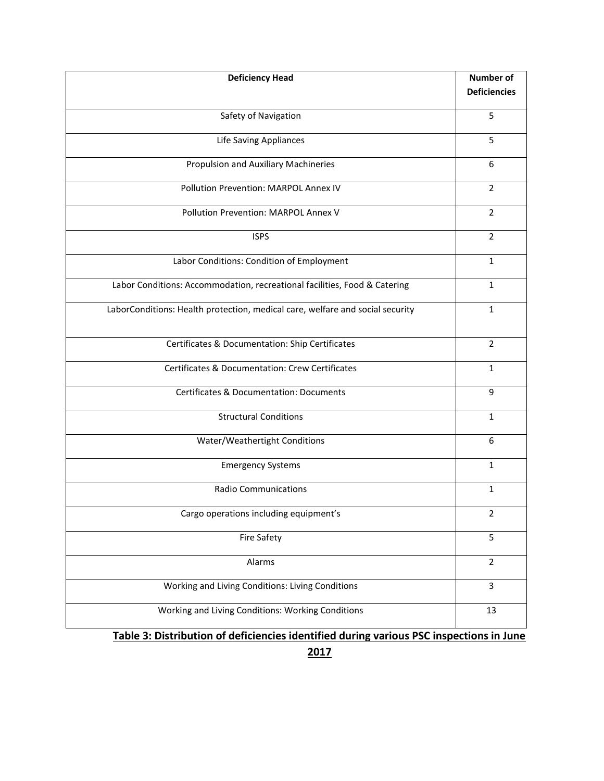| <b>Deficiency Head</b>                                                        | <b>Number of</b><br><b>Deficiencies</b> |
|-------------------------------------------------------------------------------|-----------------------------------------|
| Safety of Navigation                                                          | 5                                       |
| Life Saving Appliances                                                        | 5                                       |
| Propulsion and Auxiliary Machineries                                          | 6                                       |
| Pollution Prevention: MARPOL Annex IV                                         | $\overline{2}$                          |
| Pollution Prevention: MARPOL Annex V                                          | $\overline{2}$                          |
| <b>ISPS</b>                                                                   | $\overline{2}$                          |
| Labor Conditions: Condition of Employment                                     | $\mathbf{1}$                            |
| Labor Conditions: Accommodation, recreational facilities, Food & Catering     | $\mathbf{1}$                            |
| LaborConditions: Health protection, medical care, welfare and social security | $\mathbf{1}$                            |
| Certificates & Documentation: Ship Certificates                               | $\overline{2}$                          |
| <b>Certificates &amp; Documentation: Crew Certificates</b>                    | $\mathbf{1}$                            |
| <b>Certificates &amp; Documentation: Documents</b>                            | 9                                       |
| <b>Structural Conditions</b>                                                  | $\mathbf{1}$                            |
| Water/Weathertight Conditions                                                 | 6                                       |
| <b>Emergency Systems</b>                                                      | 1                                       |
| <b>Radio Communications</b>                                                   | $\mathbf{1}$                            |
| Cargo operations including equipment's                                        | $\overline{2}$                          |
| <b>Fire Safety</b>                                                            | 5                                       |
| Alarms                                                                        | $\overline{2}$                          |
| Working and Living Conditions: Living Conditions                              | $\overline{3}$                          |
| Working and Living Conditions: Working Conditions                             | 13                                      |

**Table 3: Distribution of deficiencies identified during various PSC inspections in June**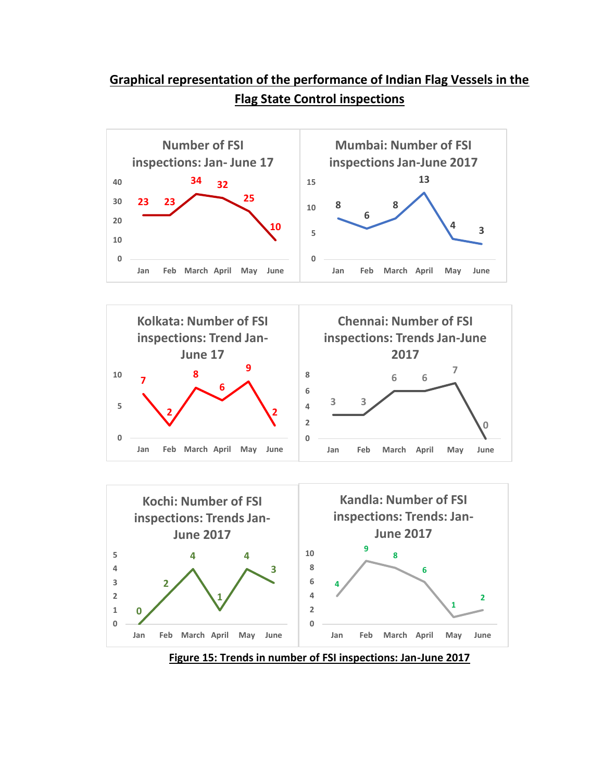## **Graphical representation of the performance of Indian Flag Vessels in the Flag State Control inspections**







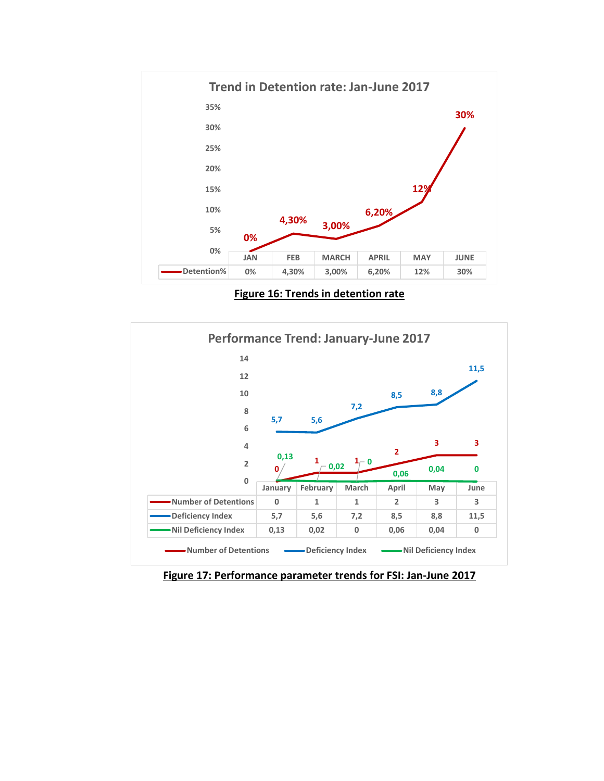

**Figure 16: Trends in detention rate**



**Figure 17: Performance parameter trends for FSI: Jan-June 2017**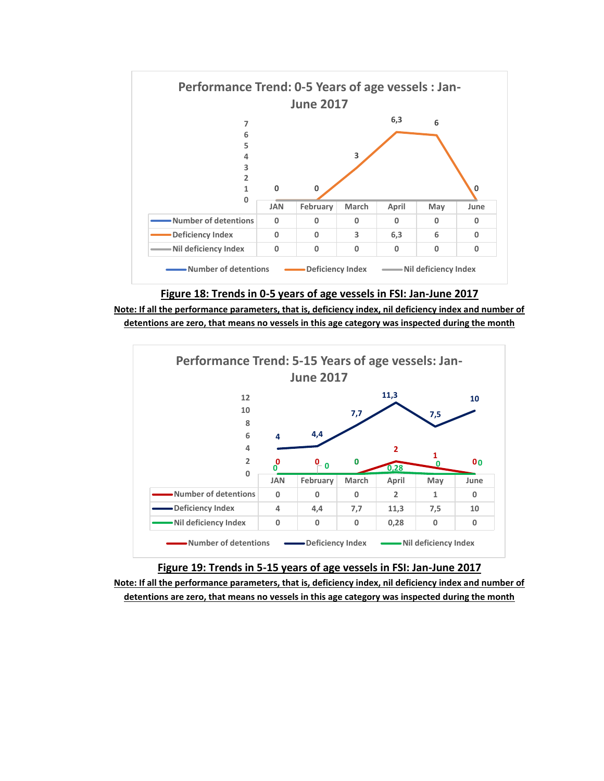



**Note: If all the performance parameters, that is, deficiency index, nil deficiency index and number of detentions are zero, that means no vessels in this age category was inspected during the month**



**Figure 19: Trends in 5-15 years of age vessels in FSI: Jan-June 2017 Note: If all the performance parameters, that is, deficiency index, nil deficiency index and number of detentions are zero, that means no vessels in this age category was inspected during the month**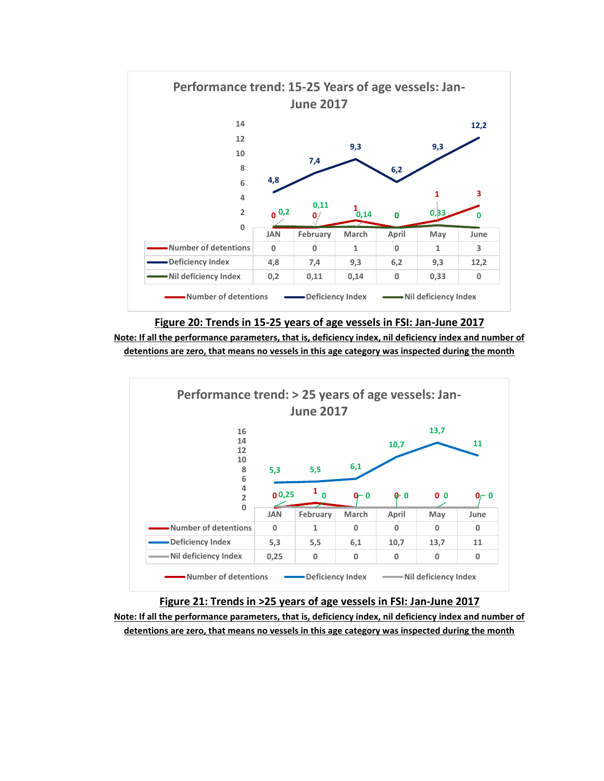

#### **Figure 20: Trends in 15-25 years of age vessels in FSI: Jan-June 2017**





#### **Figure 21: Trends in >25 years of age vessels in FSI: Jan-June 2017 Note: If all the performance parameters, that is, deficiency index, nil deficiency index and number of detentions are zero, that means no vessels in this age category was inspected during the month**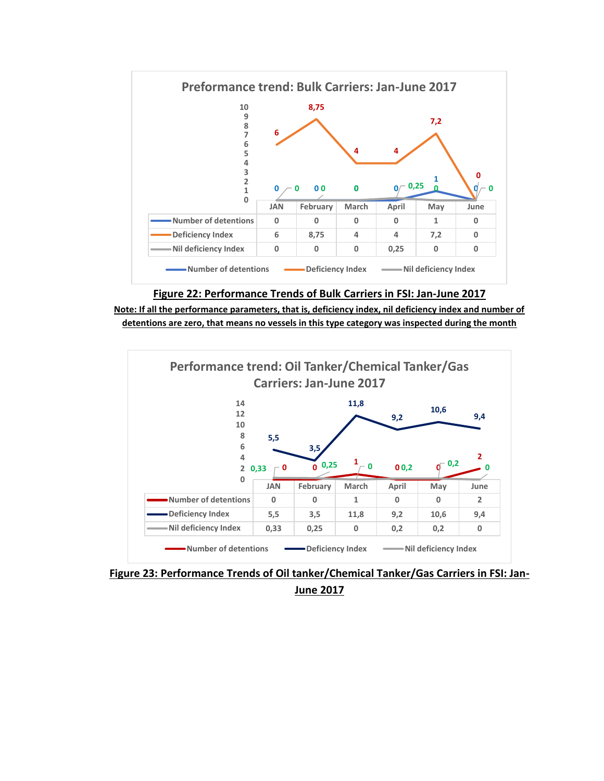





**Figure 23: Performance Trends of Oil tanker/Chemical Tanker/Gas Carriers in FSI: Jan-June 2017**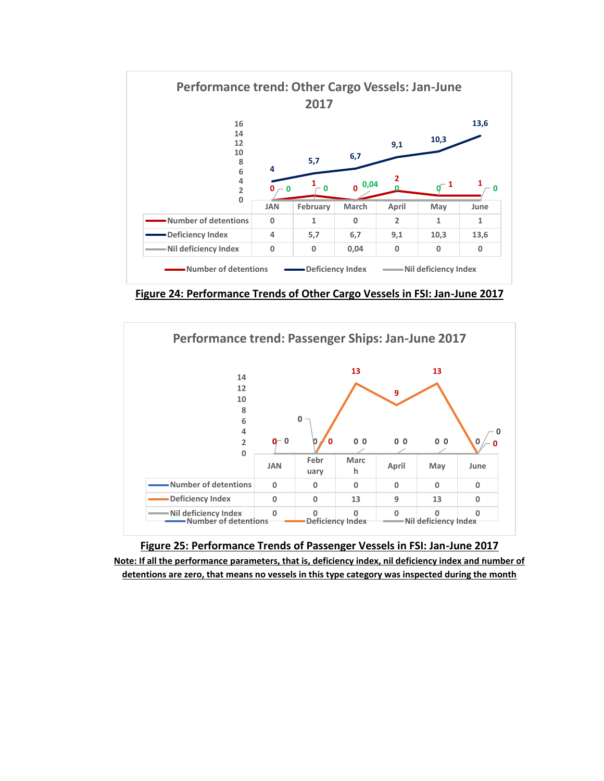

**Figure 24: Performance Trends of Other Cargo Vessels in FSI: Jan-June 2017**



**Figure 25: Performance Trends of Passenger Vessels in FSI: Jan-June 2017 Note: If all the performance parameters, that is, deficiency index, nil deficiency index and number of detentions are zero, that means no vessels in this type category was inspected during the month**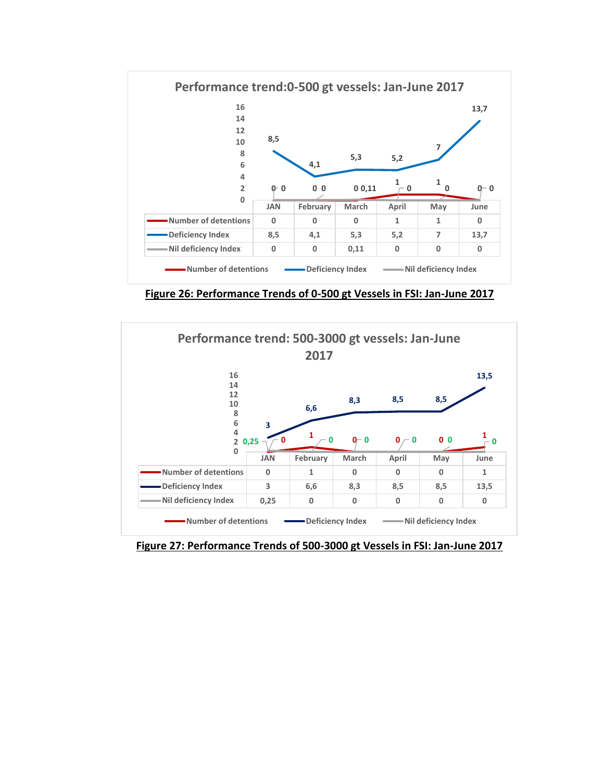

**Figure 26: Performance Trends of 0-500 gt Vessels in FSI: Jan-June 2017**



**Figure 27: Performance Trends of 500-3000 gt Vessels in FSI: Jan-June 2017**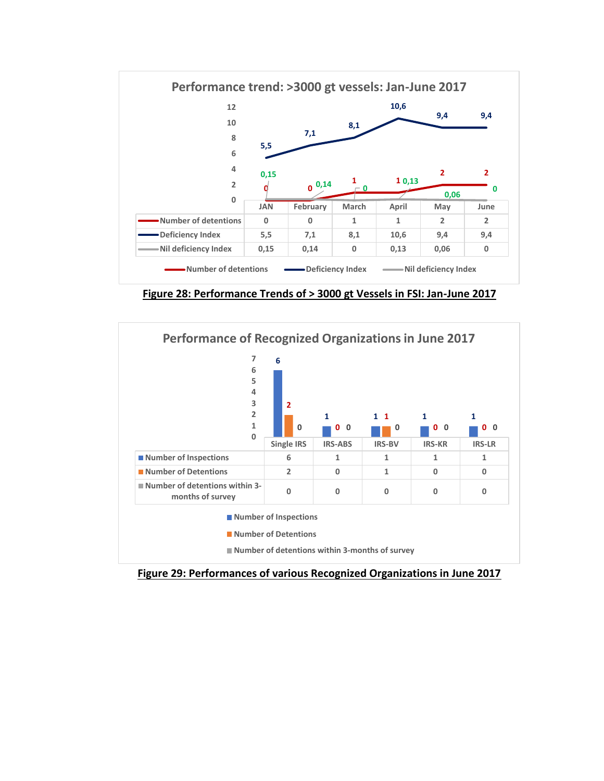

**Figure 28: Performance Trends of > 3000 gt Vessels in FSI: Jan-June 2017**



**Figure 29: Performances of various Recognized Organizations in June 2017**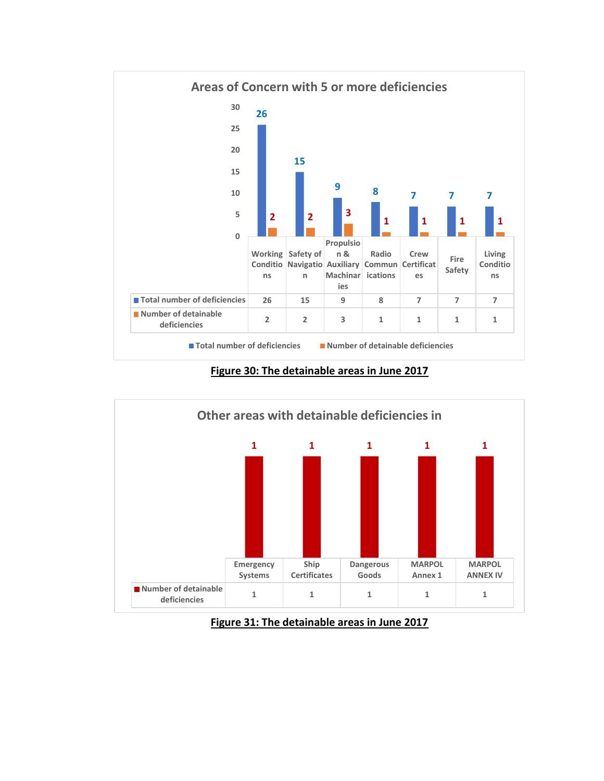

**Figure 30: The detainable areas in June 2017**



**Figure 31: The detainable areas in June 2017**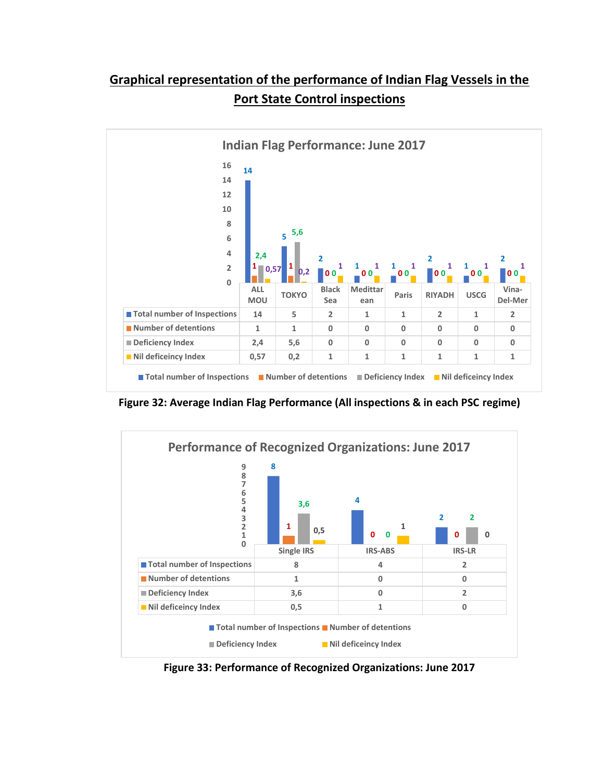# **Graphical representation of the performance of Indian Flag Vessels in the Port State Control inspections**



**Figure 32: Average Indian Flag Performance (All inspections & in each PSC regime)**



**Figure 33: Performance of Recognized Organizations: June 2017**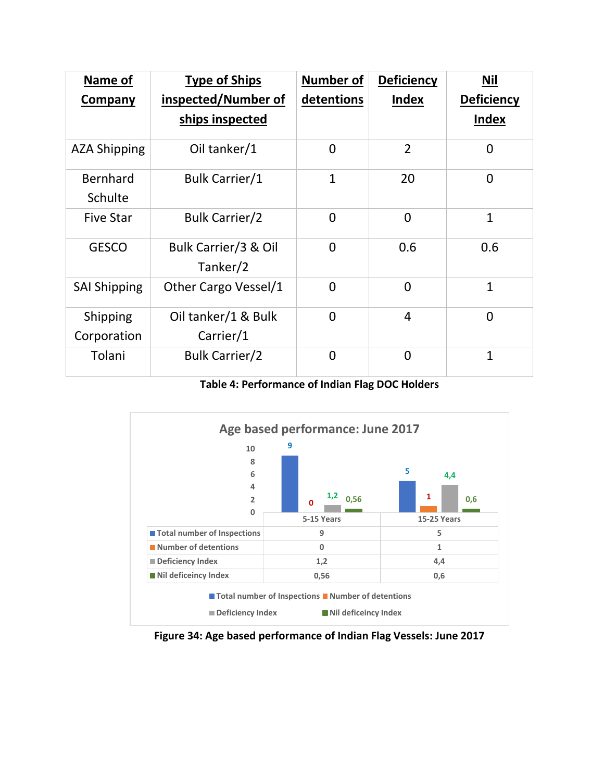| Name of                    | <b>Type of Ships</b>             | <b>Number of</b> | <b>Deficiency</b> | Nil               |  |  |  |
|----------------------------|----------------------------------|------------------|-------------------|-------------------|--|--|--|
| Company                    | inspected/Number of              | detentions       | <b>Index</b>      | <b>Deficiency</b> |  |  |  |
|                            | ships inspected                  |                  |                   | <b>Index</b>      |  |  |  |
| <b>AZA Shipping</b>        | Oil tanker/1                     | $\overline{0}$   | $\overline{2}$    | $\Omega$          |  |  |  |
| Bernhard<br><b>Schulte</b> | <b>Bulk Carrier/1</b>            | $\mathbf{1}$     | 20                | $\overline{0}$    |  |  |  |
| <b>Five Star</b>           | <b>Bulk Carrier/2</b>            | $\overline{0}$   | $\overline{0}$    | $\mathbf{1}$      |  |  |  |
| <b>GESCO</b>               | Bulk Carrier/3 & Oil<br>Tanker/2 | $\overline{0}$   | 0.6               | 0.6               |  |  |  |
| <b>SAI Shipping</b>        | Other Cargo Vessel/1             | $\overline{0}$   | $\overline{0}$    | $\mathbf{1}$      |  |  |  |
| Shipping<br>Corporation    | Oil tanker/1 & Bulk<br>Carrier/1 | $\Omega$         | $\overline{4}$    | $\overline{0}$    |  |  |  |
| Tolani                     | <b>Bulk Carrier/2</b>            | $\overline{0}$   | $\overline{0}$    | $\mathbf{1}$      |  |  |  |

**Table 4: Performance of Indian Flag DOC Holders**



**Figure 34: Age based performance of Indian Flag Vessels: June 2017**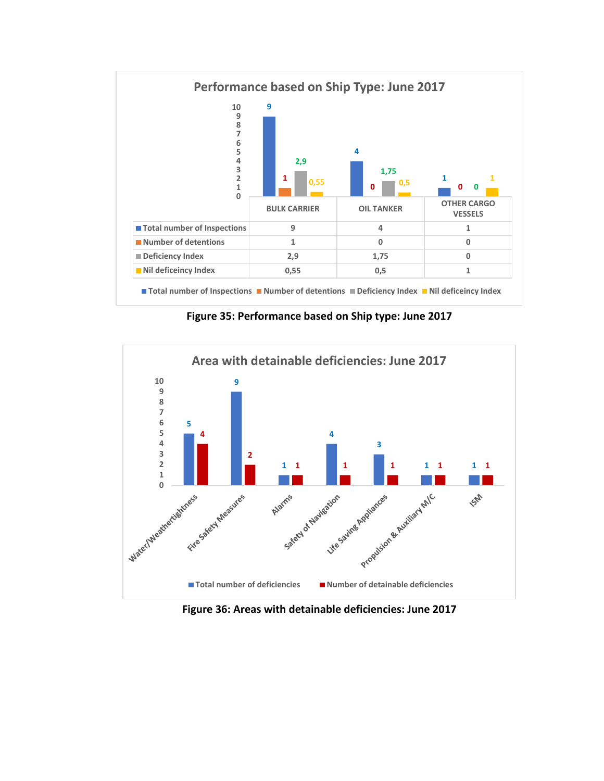

**Figure 35: Performance based on Ship type: June 2017**



**Figure 36: Areas with detainable deficiencies: June 2017**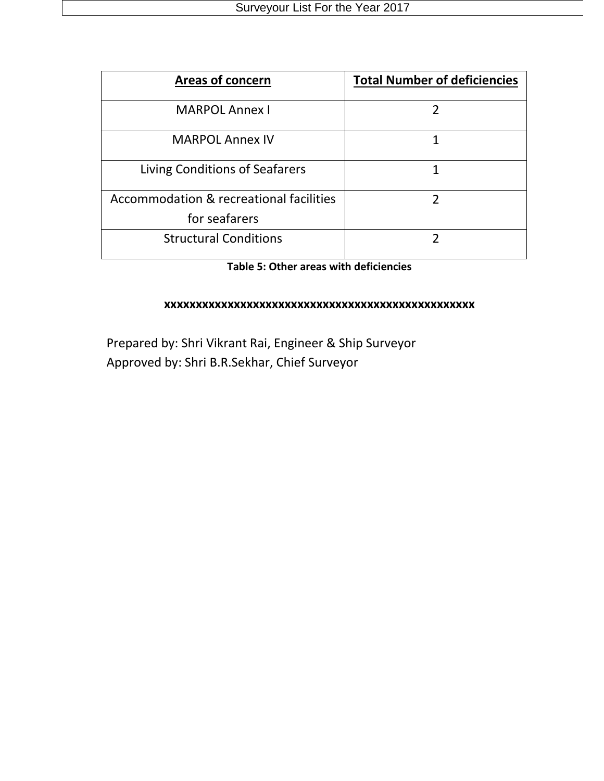| <b>Areas of concern</b>                                  | <b>Total Number of deficiencies</b> |
|----------------------------------------------------------|-------------------------------------|
| <b>MARPOL Annex I</b>                                    |                                     |
| <b>MARPOL Annex IV</b>                                   |                                     |
| Living Conditions of Seafarers                           |                                     |
| Accommodation & recreational facilities<br>for seafarers |                                     |
| <b>Structural Conditions</b>                             |                                     |

### **Table 5: Other areas with deficiencies**

#### **xxxxxxxxxxxxxxxxxxxxxxxxxxxxxxxxxxxxxxxxxxxxxxxxx**

Prepared by: Shri Vikrant Rai, Engineer & Ship Surveyor Approved by: Shri B.R.Sekhar, Chief Surveyor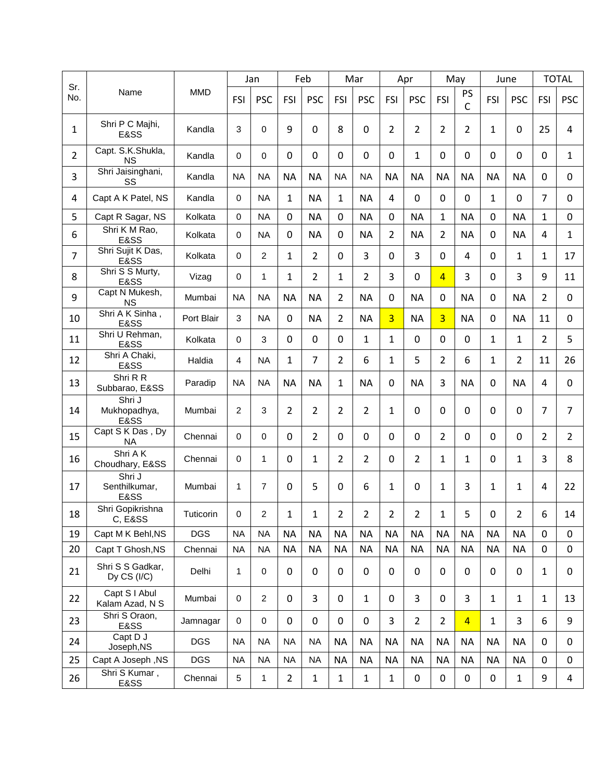|                |                                   |            | Jan         |                | Feb              |                | Mar            |                | Apr            |             | May            |                   | June         |                | <b>TOTAL</b>   |                |
|----------------|-----------------------------------|------------|-------------|----------------|------------------|----------------|----------------|----------------|----------------|-------------|----------------|-------------------|--------------|----------------|----------------|----------------|
| Sr.<br>No.     | Name                              | <b>MMD</b> | FSI         | <b>PSC</b>     | <b>FSI</b>       | <b>PSC</b>     | FSI            | <b>PSC</b>     | <b>FSI</b>     | <b>PSC</b>  | FSI            | PS<br>$\mathsf C$ | FSI          | <b>PSC</b>     | FSI            | <b>PSC</b>     |
| 1              | Shri P C Majhi,<br>E&SS           | Kandla     | 3           | $\mathbf 0$    | 9                | 0              | 8              | 0              | 2              | 2           | $\overline{2}$ | 2                 | 1            | 0              | 25             | 4              |
| $\overline{2}$ | Capt. S.K.Shukla,<br>ΝS           | Kandla     | 0           | $\mathbf 0$    | 0                | $\mathbf 0$    | 0              | $\mathbf 0$    | 0              | 1           | $\mathbf 0$    | $\mathbf 0$       | $\mathbf 0$  | 0              | $\mathbf 0$    | $\mathbf{1}$   |
| 3              | Shri Jaisinghani,<br>SS           | Kandla     | <b>NA</b>   | <b>NA</b>      | <b>NA</b>        | <b>NA</b>      | <b>NA</b>      | <b>NA</b>      | <b>NA</b>      | <b>NA</b>   | <b>NA</b>      | <b>NA</b>         | <b>NA</b>    | <b>NA</b>      | $\Omega$       | $\mathbf 0$    |
| 4              | Capt A K Patel, NS                | Kandla     | 0           | <b>NA</b>      | 1                | <b>NA</b>      | 1              | <b>NA</b>      | 4              | $\Omega$    | $\mathbf 0$    | 0                 | $\mathbf{1}$ | 0              | 7              | $\mathbf 0$    |
| 5              | Capt R Sagar, NS                  | Kolkata    | $\Omega$    | <b>NA</b>      | 0                | <b>NA</b>      | $\mathbf 0$    | <b>NA</b>      | 0              | <b>NA</b>   | $\mathbf{1}$   | <b>NA</b>         | $\mathbf 0$  | <b>NA</b>      | $\mathbf{1}$   | $\overline{0}$ |
| 6              | Shri K M Rao,<br>E&SS             | Kolkata    | $\Omega$    | <b>NA</b>      | 0                | <b>NA</b>      | 0              | <b>NA</b>      | $\overline{2}$ | <b>NA</b>   | $\overline{2}$ | <b>NA</b>         | $\mathbf 0$  | <b>NA</b>      | 4              | $\mathbf{1}$   |
| $\overline{7}$ | Shri Sujit K Das,<br>E&SS         | Kolkata    | 0           | $\overline{2}$ | 1                | $\overline{2}$ | 0              | 3              | $\Omega$       | 3           | $\mathbf 0$    | 4                 | $\mathbf 0$  | $\mathbf{1}$   | 1              | 17             |
| 8              | Shri S S Murty,<br>E&SS           | Vizag      | $\Omega$    | 1              | $\mathbf{1}$     | $\overline{2}$ | 1              | $\overline{2}$ | 3              | $\Omega$    | $\overline{4}$ | 3                 | $\mathbf 0$  | 3              | 9              | 11             |
| 9              | Capt N Mukesh,<br><b>NS</b>       | Mumbai     | <b>NA</b>   | <b>NA</b>      | <b>NA</b>        | <b>NA</b>      | 2              | <b>NA</b>      | $\mathbf 0$    | <b>NA</b>   | $\mathbf 0$    | <b>NA</b>         | $\mathbf 0$  | <b>NA</b>      | 2              | $\mathbf 0$    |
| 10             | Shri A K Sinha,<br>E&SS           | Port Blair | 3           | <b>NA</b>      | $\mathbf 0$      | <b>NA</b>      | $\overline{2}$ | <b>NA</b>      | $\overline{3}$ | <b>NA</b>   | $\overline{3}$ | <b>NA</b>         | $\mathbf 0$  | <b>NA</b>      | 11             | $\mathbf 0$    |
| 11             | Shri U Rehman,<br>E&SS            | Kolkata    | $\Omega$    | 3              | 0                | $\mathbf 0$    | 0              | 1              | $\mathbf{1}$   | $\Omega$    | $\mathbf 0$    | $\mathbf 0$       | 1            | $\mathbf{1}$   | 2              | 5              |
| 12             | Shri A Chaki,<br>E&SS             | Haldia     | 4           | <b>NA</b>      | 1                | $\overline{7}$ | $\overline{2}$ | 6              | 1              | 5           | $\overline{2}$ | 6                 | 1            | $\overline{2}$ | 11             | 26             |
| 13             | Shri R R<br>Subbarao, E&SS        | Paradip    | <b>NA</b>   | <b>NA</b>      | <b>NA</b>        | <b>NA</b>      | 1              | <b>NA</b>      | $\mathbf 0$    | <b>NA</b>   | 3              | <b>NA</b>         | 0            | <b>NA</b>      | $\overline{4}$ | $\overline{0}$ |
| 14             | Shri J<br>Mukhopadhya,<br>E&SS    | Mumbai     | 2           | 3              | 2                | $\overline{2}$ | 2              | 2              | 1              | 0           | $\mathbf 0$    | $\mathbf 0$       | 0            | 0              | 7              | $\overline{7}$ |
| 15             | Capt S K Das, Dy<br><b>NA</b>     | Chennai    | $\Omega$    | $\mathbf 0$    | 0                | $\overline{2}$ | 0              | $\mathbf 0$    | $\mathbf 0$    | 0           | $\overline{2}$ | $\mathbf 0$       | $\mathbf 0$  | 0              | $\overline{2}$ | $\overline{2}$ |
| 16             | Shri AK<br>Choudhary, E&SS        | Chennai    | $\Omega$    | $\mathbf{1}$   | $\mathbf 0$      | $\mathbf{1}$   | $\overline{2}$ | $\overline{2}$ | 0              | 2           | $\mathbf{1}$   | 1                 | $\mathbf 0$  | $\mathbf{1}$   | 3              | 8              |
| 17             | Shri J<br>Senthilkumar,<br>E&SS   | Mumbai     | 1           | $\overline{7}$ | 0                | 5              | 0              | 6              | $\mathbf{1}$   | $\Omega$    | 1              | 3                 | $\mathbf{1}$ | $\mathbf{1}$   | $\overline{4}$ | 22             |
| 18             | Shri Gopikrishna<br>C, E&SS       | Tuticorin  | 0           | $\overline{c}$ | 1                | 1              | $\overline{2}$ | $\overline{2}$ | $\overline{2}$ | 2           | $\mathbf{1}$   | 5                 | $\mathbf 0$  | $\overline{2}$ | 6              | 14             |
| 19             | Capt M K Behl, NS                 | <b>DGS</b> | <b>NA</b>   | <b>NA</b>      | <b>NA</b>        | <b>NA</b>      | <b>NA</b>      | <b>NA</b>      | <b>NA</b>      | <b>NA</b>   | <b>NA</b>      | <b>NA</b>         | <b>NA</b>    | <b>NA</b>      | $\mathbf 0$    | $\mathbf 0$    |
| 20             | Capt T Ghosh, NS                  | Chennai    | <b>NA</b>   | <b>NA</b>      | <b>NA</b>        | <b>NA</b>      | <b>NA</b>      | <b>NA</b>      | <b>NA</b>      | <b>NA</b>   | <b>NA</b>      | <b>NA</b>         | <b>NA</b>    | <b>NA</b>      | $\mathbf 0$    | $\mathbf 0$    |
| 21             | Shri S S Gadkar,<br>Dy $CS (I/C)$ | Delhi      | 1           | 0              | $\boldsymbol{0}$ | $\pmb{0}$      | 0              | 0              | 0              | 0           | $\mathbf 0$    | $\mathbf 0$       | $\mathbf 0$  | 0              | $\mathbf{1}$   | $\pmb{0}$      |
| 22             | Capt S I Abul<br>Kalam Azad, N S  | Mumbai     | $\mathbf 0$ | $\overline{2}$ | $\mathbf 0$      | 3              | 0              | 1              | 0              | 3           | 0              | 3                 | $\mathbf{1}$ | 1              | $\mathbf{1}$   | 13             |
| 23             | Shri S Oraon,<br>E&SS             | Jamnagar   | 0           | 0              | $\mathbf 0$      | $\pmb{0}$      | 0              | $\mathbf 0$    | 3              | 2           | $\overline{2}$ | $\overline{4}$    | $\mathbf{1}$ | 3              | 6              | 9              |
| 24             | Capt D J<br>Joseph, NS            | <b>DGS</b> | <b>NA</b>   | <b>NA</b>      | <b>NA</b>        | <b>NA</b>      | <b>NA</b>      | <b>NA</b>      | <b>NA</b>      | <b>NA</b>   | <b>NA</b>      | <b>NA</b>         | <b>NA</b>    | <b>NA</b>      | 0              | 0              |
| 25             | Capt A Joseph, NS                 | <b>DGS</b> | <b>NA</b>   | <b>NA</b>      | <b>NA</b>        | <b>NA</b>      | <b>NA</b>      | <b>NA</b>      | <b>NA</b>      | <b>NA</b>   | <b>NA</b>      | <b>NA</b>         | <b>NA</b>    | <b>NA</b>      | $\mathbf 0$    | $\mathbf 0$    |
| 26             | Shri S Kumar,<br>E&SS             | Chennai    | 5           | $\mathbf{1}$   | $\overline{2}$   | $\mathbf 1$    | $\mathbf{1}$   | $\mathbf{1}$   | $\mathbf{1}$   | $\mathbf 0$ | $\pmb{0}$      | $\pmb{0}$         | $\mathbf 0$  | $\mathbf{1}$   | 9              | $\overline{4}$ |